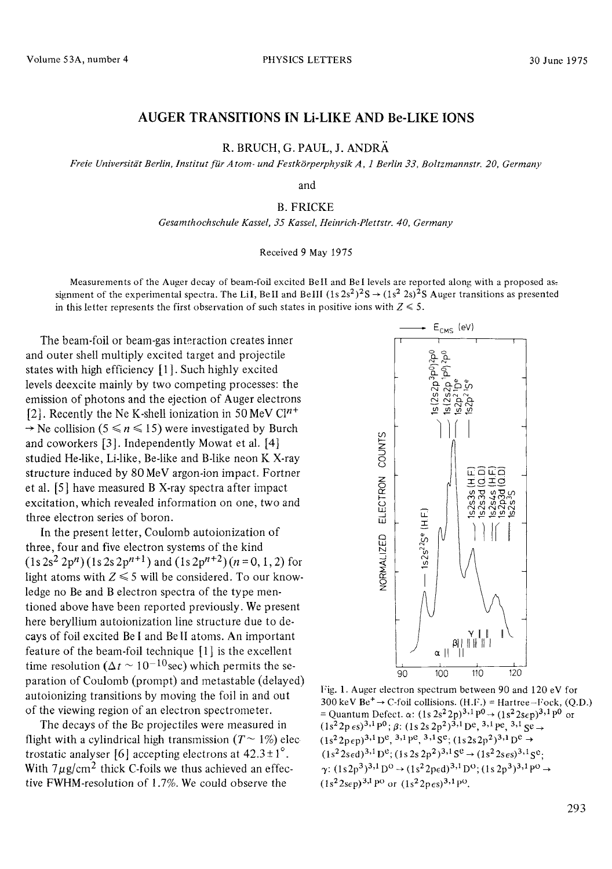## AUGER TRANSITIONS IN Li-LIKE AND Be-LIKE IONS

R. BRUCH, G. PAUL, J. ANDRÄ

Freie Universität Berlin, Institut für Atom- und Festkörperphysik A. 1 Berlin 33. Boltzmannstr. 20. Germany

and

## **B. FRICKE**

Gesamthochschule Kassel, 35 Kassel, Heinrich-Plettstr. 40, Germany

## Received 9 May 1975

Measurements of the Auger decay of beam-foil excited BeII and BeI levels are reported along with a proposed assignment of the experimental spectra. The LiI, BeII and BeIII  $(1s2s^2)^2S \rightarrow (1s^2 2s)^2S$  Auger transitions as presented in this letter represents the first observation of such states in positive ions with  $Z \le 5$ .

The beam-foil or beam-gas interaction creates inner and outer shell multiply excited target and projectile states with high efficiency [1]. Such highly excited levels deexcite mainly by two competing processes: the emission of photons and the ejection of Auger electrons [2]. Recently the Ne K-shell ionization in 50 MeV  $Cl^{n+}$  $\rightarrow$  Ne collision (5  $\le n \le 15$ ) were investigated by Burch and coworkers [3]. Independently Mowat et al. [4] studied He-like, Li-like, Be-like and B-like neon K X-rav structure induced by 80 MeV argon-ion impact. Fortner et al. [5] have measured B X-ray spectra after impact excitation, which revealed information on one, two and three electron series of boron.

In the present letter, Coulomb autoionization of three, four and five electron systems of the kind  $(1s 2s<sup>2</sup> 2p<sup>n</sup>)(1s 2s 2p<sup>n+1</sup>)$  and  $(1s 2p<sup>n+2</sup>)(n = 0, 1, 2)$  for light atoms with  $Z \le 5$  will be considered. To our knowledge no Be and B electron spectra of the type mentioned above have been reported previously. We present here beryllium autoionization line structure due to decays of foil excited Be I and Be II atoms. An important feature of the beam-foil technique  $[1]$  is the excellent time resolution ( $\Delta t \sim 10^{-10}$  sec) which permits the separation of Coulomb (prompt) and metastable (delayed) autoionizing transitions by moving the foil in and out of the viewing region of an electron spectrometer.

The decays of the Be projectiles were measured in flight with a cylindrical high transmission  $(T \sim 1\%)$  electrostatic analyser [6] accepting electrons at  $42.3 \pm 1^{\circ}$ . With  $7 \mu$ g/cm<sup>2</sup> thick C-foils we thus achieved an effective FWHM-resolution of 1.7%. We could observe the



Fig. 1. Auger electron spectrum between 90 and 120 eV for 300 keV Be<sup>+</sup>  $\rightarrow$  C-foil collisions. (H.F.) = Hartree-Fock, (Q.D.) = Quantum Defect.  $\alpha$ :  $(1s 2s^2 2p)^{3,1}p^0 \rightarrow (1s^2 2s\epsilon p)^{3,1}p^0$  or  $(1s^22p \epsilon s)^{3,1}p^0$ ;  $\beta$ :  $(1s 2s 2p^2)^{3,1}p^0$ ,  $(3,1)q^0$ ,  $(3,1)q^0$  $(1s^22p\epsilon p)^{3,1}D^e$ , <sup>3,1</sup> pe<sub>,</sub> <sup>3,1</sup> S<sup>e</sup>;  $(1s2s2p^2)^{3,1}D^e \rightarrow$  $(1s<sup>2</sup>2s\epsilon d)<sup>3,1</sup> D<sup>e</sup>; (1s 2s 2p<sup>2</sup>)<sup>3,1</sup> S<sup>e</sup> \rightarrow (1s<sup>2</sup>2s\epsilon s)<sup>3,1</sup> S<sup>e</sup>;$  $\gamma \colon (1s2p^3)^{3,1}{\rm D}^0 \to (1s^22{\rm ped})^{3,1}{\rm D}^0; (1s2p^3)^{3,1}{\rm P}^0 \to$  $(1s^22s\epsilon p)^{3,1}p^{\circ}$  or  $(1s^22p\epsilon s)^{3,1}p^{\circ}$ .